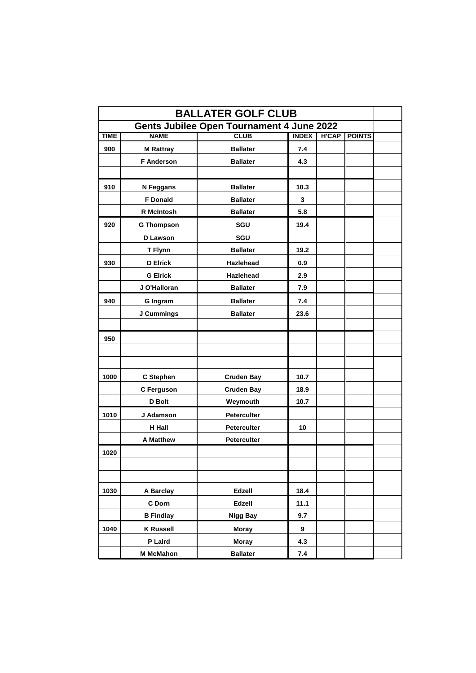| <b>BALLATER GOLF CLUB</b>                        |                   |                    |              |              |               |  |
|--------------------------------------------------|-------------------|--------------------|--------------|--------------|---------------|--|
| <b>Gents Jubilee Open Tournament 4 June 2022</b> |                   |                    |              |              |               |  |
| TIME                                             | <b>NAME</b>       | <b>CLUB</b>        | <b>INDEX</b> | <b>H'CAP</b> | <b>POINTS</b> |  |
| 900                                              | <b>M Rattray</b>  | <b>Ballater</b>    | 7.4          |              |               |  |
|                                                  | <b>F</b> Anderson | <b>Ballater</b>    | 4.3          |              |               |  |
|                                                  |                   |                    |              |              |               |  |
| 910                                              | N Feggans         | <b>Ballater</b>    | 10.3         |              |               |  |
|                                                  | <b>F</b> Donald   | <b>Ballater</b>    | 3            |              |               |  |
|                                                  | <b>R</b> McIntosh | <b>Ballater</b>    | 5.8          |              |               |  |
| 920                                              | <b>G Thompson</b> | SGU                | 19.4         |              |               |  |
|                                                  | <b>D</b> Lawson   | SGU                |              |              |               |  |
|                                                  | <b>T Flynn</b>    | <b>Ballater</b>    | 19.2         |              |               |  |
| 930                                              | <b>D</b> Elrick   | <b>Hazlehead</b>   | 0.9          |              |               |  |
|                                                  | <b>G Elrick</b>   | <b>Hazlehead</b>   | 2.9          |              |               |  |
|                                                  | J O'Halloran      | <b>Ballater</b>    | 7.9          |              |               |  |
| 940                                              | <b>G</b> Ingram   | <b>Ballater</b>    | 7.4          |              |               |  |
|                                                  | J Cummings        | <b>Ballater</b>    | 23.6         |              |               |  |
|                                                  |                   |                    |              |              |               |  |
| 950                                              |                   |                    |              |              |               |  |
|                                                  |                   |                    |              |              |               |  |
|                                                  |                   |                    |              |              |               |  |
| 1000                                             | <b>C</b> Stephen  | <b>Cruden Bay</b>  | 10.7         |              |               |  |
|                                                  | <b>C</b> Ferguson | <b>Cruden Bay</b>  | 18.9         |              |               |  |
|                                                  | <b>D</b> Bolt     | Weymouth           | 10.7         |              |               |  |
| 1010                                             | J Adamson         | <b>Peterculter</b> |              |              |               |  |
|                                                  | <b>H</b> Hall     | <b>Peterculter</b> | 10           |              |               |  |
|                                                  | <b>A Matthew</b>  | <b>Peterculter</b> |              |              |               |  |
| 1020                                             |                   |                    |              |              |               |  |
|                                                  |                   |                    |              |              |               |  |
|                                                  |                   |                    |              |              |               |  |
| 1030                                             | <b>A Barclay</b>  | <b>Edzell</b>      | 18.4         |              |               |  |
|                                                  | C Dorn            | <b>Edzell</b>      | 11.1         |              |               |  |
|                                                  | <b>B</b> Findlay  | <b>Nigg Bay</b>    | 9.7          |              |               |  |
| 1040                                             | <b>K Russell</b>  | <b>Moray</b>       | 9            |              |               |  |
|                                                  | P Laird           | <b>Moray</b>       | 4.3          |              |               |  |
|                                                  | <b>M</b> McMahon  | <b>Ballater</b>    | 7.4          |              |               |  |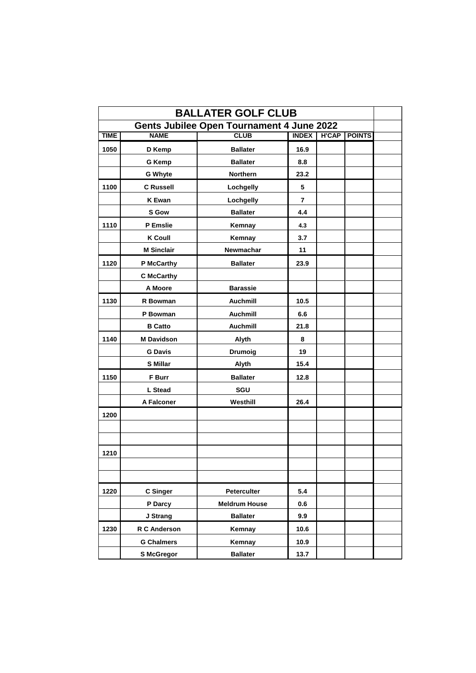| <b>BALLATER GOLF CLUB</b>                        |                     |                      |                |              |               |  |  |
|--------------------------------------------------|---------------------|----------------------|----------------|--------------|---------------|--|--|
| <b>Gents Jubilee Open Tournament 4 June 2022</b> |                     |                      |                |              |               |  |  |
| <b>TIME</b>                                      | <b>NAME</b>         | <b>CLUB</b>          | <b>INDEX</b>   | <b>H'CAP</b> | <b>POINTS</b> |  |  |
| 1050                                             | D Kemp              | <b>Ballater</b>      | 16.9           |              |               |  |  |
|                                                  | <b>G Kemp</b>       | <b>Ballater</b>      | 8.8            |              |               |  |  |
|                                                  | <b>G Whyte</b>      | <b>Northern</b>      | 23.2           |              |               |  |  |
| 1100                                             | <b>C</b> Russell    | Lochgelly            | 5              |              |               |  |  |
|                                                  | <b>K</b> Ewan       | Lochgelly            | $\overline{7}$ |              |               |  |  |
|                                                  | <b>S</b> Gow        | <b>Ballater</b>      | 4.4            |              |               |  |  |
| 1110                                             | <b>P</b> Emslie     | Kemnay               | 4.3            |              |               |  |  |
|                                                  | <b>K Coull</b>      | Kemnay               | 3.7            |              |               |  |  |
|                                                  | <b>M Sinclair</b>   | <b>Newmachar</b>     | 11             |              |               |  |  |
| 1120                                             | <b>P McCarthy</b>   | <b>Ballater</b>      | 23.9           |              |               |  |  |
|                                                  | <b>C</b> McCarthy   |                      |                |              |               |  |  |
|                                                  | A Moore             | <b>Barassie</b>      |                |              |               |  |  |
| 1130                                             | <b>R</b> Bowman     | <b>Auchmill</b>      | 10.5           |              |               |  |  |
|                                                  | P Bowman            | <b>Auchmill</b>      | 6.6            |              |               |  |  |
|                                                  | <b>B</b> Catto      | <b>Auchmill</b>      | 21.8           |              |               |  |  |
| 1140                                             | <b>M Davidson</b>   | Alyth                | 8              |              |               |  |  |
|                                                  | <b>G Davis</b>      | <b>Drumoig</b>       | 19             |              |               |  |  |
|                                                  | <b>S</b> Millar     | Alyth                | 15.4           |              |               |  |  |
| 1150                                             | <b>F</b> Burr       | <b>Ballater</b>      | 12.8           |              |               |  |  |
|                                                  | L Stead             | <b>SGU</b>           |                |              |               |  |  |
|                                                  | <b>A Falconer</b>   | Westhill             | 26.4           |              |               |  |  |
| 1200                                             |                     |                      |                |              |               |  |  |
|                                                  |                     |                      |                |              |               |  |  |
|                                                  |                     |                      |                |              |               |  |  |
| 1210                                             |                     |                      |                |              |               |  |  |
|                                                  |                     |                      |                |              |               |  |  |
|                                                  |                     |                      |                |              |               |  |  |
| 1220                                             | <b>C</b> Singer     | <b>Peterculter</b>   | 5.4            |              |               |  |  |
|                                                  | P Darcy             | <b>Meldrum House</b> | 0.6            |              |               |  |  |
|                                                  | J Strang            | <b>Ballater</b>      | 9.9            |              |               |  |  |
| 1230                                             | <b>R C Anderson</b> | Kemnay               | 10.6           |              |               |  |  |
|                                                  | <b>G Chalmers</b>   | Kemnay               | 10.9           |              |               |  |  |
|                                                  | <b>S McGregor</b>   | <b>Ballater</b>      | 13.7           |              |               |  |  |